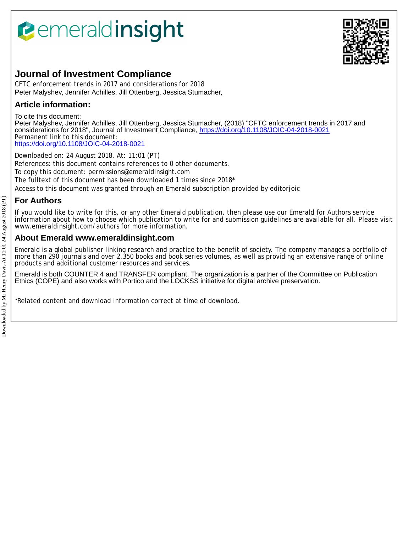# *<u><b>Pemeraldinsight</u>*



# **Journal of Investment Compliance**

CFTC enforcement trends in 2017 and considerations for 2018 Peter Malyshev, Jennifer Achilles, Jill Ottenberg, Jessica Stumacher,

## **Article information:**

To cite this document:

Peter Malyshev, Jennifer Achilles, Jill Ottenberg, Jessica Stumacher, (2018) "CFTC enforcement trends in 2017 and considerations for 2018", Journal of Investment Compliance,<https://doi.org/10.1108/JOIC-04-2018-0021> Permanent link to this document: <https://doi.org/10.1108/JOIC-04-2018-0021>

Downloaded on: 24 August 2018, At: 11:01 (PT) References: this document contains references to 0 other documents. To copy this document: permissions@emeraldinsight.com The fulltext of this document has been downloaded 1 times since 2018\* Access to this document was granted through an Emerald subscription provided by editorjoic

# **For Authors**

If you would like to write for this, or any other Emerald publication, then please use our Emerald for Authors service information about how to choose which publication to write for and submission guidelines are available for all. Please visit www.emeraldinsight.com/authors for more information.

### **About Emerald www.emeraldinsight.com**

Emerald is a global publisher linking research and practice to the benefit of society. The company manages a portfolio of more than 290 journals and over 2,350 books and book series volumes, as well as providing an extensive range of online products and additional customer resources and services.

Emerald is both COUNTER 4 and TRANSFER compliant. The organization is a partner of the Committee on Publication Ethics (COPE) and also works with Portico and the LOCKSS initiative for digital archive preservation.

\*Related content and download information correct at time of download.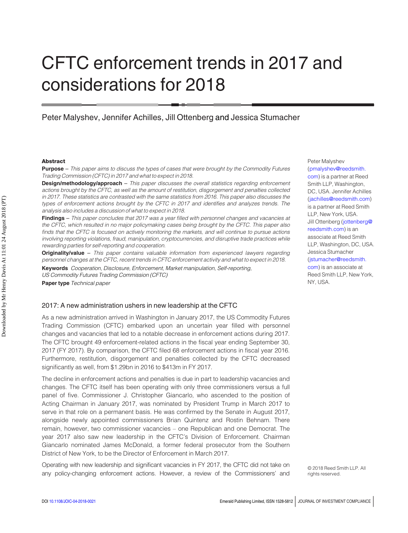# CFTC enforcement trends in 2017 and considerations for 2018

Peter Malyshev, Jennifer Achilles, Jill Ottenberg and Jessica Stumacher

#### **Abstract**

**Purpose** – This paper aims to discuss the types of cases that were brought by the Commodity Futures Trading Commission (CFTC) in 2017 and what to expect in 2018.

**Design/methodology/approach** – This paper discusses the overall statistics regarding enforcement actions brought by the CFTC, as well as the amount of restitution, disgorgement and penalties collected in 2017. These statistics are contrasted with the same statistics from 2016. This paper also discusses the types of enforcement actions brought by the CFTC in 2017 and identifies and analyzes trends. The analysis also includes a discussion of what to expect in 2018.

Findings – This paper concludes that 2017 was a year filled with personnel changes and vacancies at the CFTC, which resulted in no major policymaking cases being brought by the CFTC. This paper also finds that the CFTC is focused on actively monitoring the markets, and will continue to pursue actions involving reporting violations, fraud, manipulation, cryptocurrencies, and disruptive trade practices while rewarding parties for self-reporting and cooperation.

Originality/value - This paper contains valuable information from experienced lawyers regarding personnel changes at the CFTC, recent trends in CFTC enforcement activity and what to expect in 2018. Keywords Cooperation, Disclosure, Enforcement, Market manipulation, Self-reporting, US Commodity Futures Trading Commission (CFTC)

Paper type Technical paper

#### 2017: A new administration ushers in new leadership at the CFTC

As a new administration arrived in Washington in January 2017, the US Commodity Futures Trading Commission (CFTC) embarked upon an uncertain year filled with personnel changes and vacancies that led to a notable decrease in enforcement actions during 2017. The CFTC brought 49 enforcement-related actions in the fiscal year ending September 30, 2017 (FY 2017). By comparison, the CFTC filed 68 enforcement actions in fiscal year 2016. Furthermore, restitution, disgorgement and penalties collected by the CFTC decreased significantly as well, from \$1.29bn in 2016 to \$413m in FY 2017.

The decline in enforcement actions and penalties is due in part to leadership vacancies and changes. The CFTC itself has been operating with only three commissioners versus a full panel of five. Commissioner J. Christopher Giancarlo, who ascended to the position of Acting Chairman in January 2017, was nominated by President Trump in March 2017 to serve in that role on a permanent basis. He was confirmed by the Senate in August 2017, alongside newly appointed commissioners Brian Quintenz and Rostin Behnam. There remain, however, two commissioner vacancies – one Republican and one Democrat. The year 2017 also saw new leadership in the CFTC's Division of Enforcement. Chairman Giancarlo nominated James McDonald, a former federal prosecutor from the Southern District of New York, to be the Director of Enforcement in March 2017.

Operating with new leadership and significant vacancies in FY 2017, the CFTC did not take on any policy-changing enforcement actions. However, a review of the Commissioners' and Peter Malyshev ([pmalyshev@reedsmith.](mailto:pmalyshev@reedsmith.com) [com](mailto:pmalyshev@reedsmith.com)) is a partner at Reed Smith LLP, Washington, DC, USA. Jennifer Achilles ([jachilles@reedsmith.com\)](mailto:jachilles@reedsmith.com) is a partner at Reed Smith LLP, New York, USA. Jill Ottenberg ([jottenberg@](mailto:jottenberg@reedsmith.com) [reedsmith.com](mailto:jottenberg@reedsmith.com)) is an associate at Reed Smith LLP, Washington, DC, USA. Jessica Stumacher ([jstumacher@reedsmith.](mailto:jstumacher@reedsmith.com) [com](mailto:jstumacher@reedsmith.com)) is an associate at Reed Smith LLP, New York, NY, USA.

© 2018 Reed Smith LLP. All rights reserved.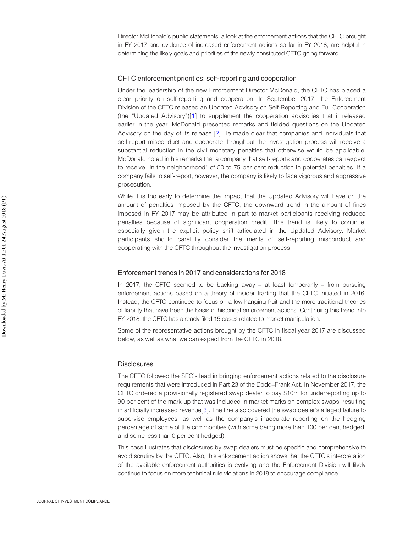Director McDonald's public statements, a look at the enforcement actions that the CFTC brought in FY 2017 and evidence of increased enforcement actions so far in FY 2018, are helpful in determining the likely goals and priorities of the newly constituted CFTC going forward.

#### CFTC enforcement priorities: self-reporting and cooperation

Under the leadership of the new Enforcement Director McDonald, the CFTC has placed a clear priority on self-reporting and cooperation. In September 2017, the Enforcement Division of the CFTC released an Updated Advisory on Self-Reporting and Full Cooperation (the "Updated Advisory")[\[1](#page-5-0)] to supplement the cooperation advisories that it released earlier in the year. McDonald presented remarks and fielded questions on the Updated Advisory on the day of its release.[\[2](#page-5-1)] He made clear that companies and individuals that self-report misconduct and cooperate throughout the investigation process will receive a substantial reduction in the civil monetary penalties that otherwise would be applicable. McDonald noted in his remarks that a company that self-reports and cooperates can expect to receive "in the neighborhood" of 50 to 75 per cent reduction in potential penalties. If a company fails to self-report, however, the company is likely to face vigorous and aggressive prosecution.

While it is too early to determine the impact that the Updated Advisory will have on the amount of penalties imposed by the CFTC, the downward trend in the amount of fines imposed in FY 2017 may be attributed in part to market participants receiving reduced penalties because of significant cooperation credit. This trend is likely to continue, especially given the explicit policy shift articulated in the Updated Advisory. Market participants should carefully consider the merits of self-reporting misconduct and cooperating with the CFTC throughout the investigation process.

#### Enforcement trends in 2017 and considerations for 2018

In 2017, the CFTC seemed to be backing away – at least temporarily – from pursuing enforcement actions based on a theory of insider trading that the CFTC initiated in 2016. Instead, the CFTC continued to focus on a low-hanging fruit and the more traditional theories of liability that have been the basis of historical enforcement actions. Continuing this trend into FY 2018, the CFTC has already filed 15 cases related to market manipulation.

Some of the representative actions brought by the CFTC in fiscal year 2017 are discussed below, as well as what we can expect from the CFTC in 2018.

#### **Disclosures**

The CFTC followed the SEC's lead in bringing enforcement actions related to the disclosure requirements that were introduced in Part 23 of the Dodd–Frank Act. In November 2017, the CFTC ordered a provisionally registered swap dealer to pay \$10m for underreporting up to 90 per cent of the mark-up that was included in market marks on complex swaps, resulting in artificially increased revenue[[3\]](#page-5-2). The fine also covered the swap dealer's alleged failure to supervise employees, as well as the company's inaccurate reporting on the hedging percentage of some of the commodities (with some being more than 100 per cent hedged, and some less than 0 per cent hedged).

This case illustrates that disclosures by swap dealers must be specific and comprehensive to avoid scrutiny by the CFTC. Also, this enforcement action shows that the CFTC's interpretation of the available enforcement authorities is evolving and the Enforcement Division will likely continue to focus on more technical rule violations in 2018 to encourage compliance.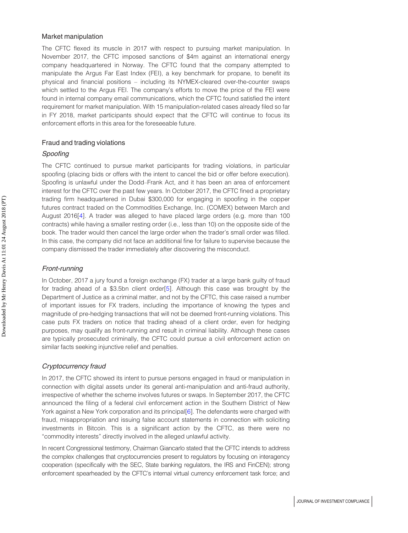#### Market manipulation

The CFTC flexed its muscle in 2017 with respect to pursuing market manipulation. In November 2017, the CFTC imposed sanctions of \$4m against an international energy company headquartered in Norway. The CFTC found that the company attempted to manipulate the Argus Far East Index (FEI), a key benchmark for propane, to benefit its physical and financial positions – including its NYMEX-cleared over-the-counter swaps which settled to the Argus FEI. The company's efforts to move the price of the FEI were found in internal company email communications, which the CFTC found satisfied the intent requirement for market manipulation. With 15 manipulation-related cases already filed so far in FY 2018, market participants should expect that the CFTC will continue to focus its enforcement efforts in this area for the foreseeable future.

#### Fraud and trading violations

#### Spoofing

The CFTC continued to pursue market participants for trading violations, in particular spoofing (placing bids or offers with the intent to cancel the bid or offer before execution). Spoofing is unlawful under the Dodd–Frank Act, and it has been an area of enforcement interest for the CFTC over the past few years. In October 2017, the CFTC fined a proprietary trading firm headquartered in Dubai \$300,000 for engaging in spoofing in the copper futures contract traded on the Commodities Exchange, Inc. (COMEX) between March and August 2016[[4\]](#page-5-3). A trader was alleged to have placed large orders (e.g. more than 100 contracts) while having a smaller resting order (i.e., less than 10) on the opposite side of the book. The trader would then cancel the large order when the trader's small order was filled. In this case, the company did not face an additional fine for failure to supervise because the company dismissed the trader immediately after discovering the misconduct.

#### Front-running

In October, 2017 a jury found a foreign exchange (FX) trader at a large bank guilty of fraud for trading ahead of a \$3.5bn client order[\[5](#page-5-4)]. Although this case was brought by the Department of Justice as a criminal matter, and not by the CFTC, this case raised a number of important issues for FX traders, including the importance of knowing the types and magnitude of pre-hedging transactions that will not be deemed front-running violations. This case puts FX traders on notice that trading ahead of a client order, even for hedging purposes, may qualify as front-running and result in criminal liability. Although these cases are typically prosecuted criminally, the CFTC could pursue a civil enforcement action on similar facts seeking injunctive relief and penalties.

#### Cryptocurrency fraud

In 2017, the CFTC showed its intent to pursue persons engaged in fraud or manipulation in connection with digital assets under its general anti-manipulation and anti-fraud authority, irrespective of whether the scheme involves futures or swaps. In September 2017, the CFTC announced the filing of a federal civil enforcement action in the Southern District of New York against a New York corporation and its principal[\[6](#page-5-5)]. The defendants were charged with fraud, misappropriation and issuing false account statements in connection with soliciting investments in Bitcoin. This is a significant action by the CFTC, as there were no "commodity interests" directly involved in the alleged unlawful activity.

In recent Congressional testimony, Chairman Giancarlo stated that the CFTC intends to address the complex challenges that cryptocurrencies present to regulators by focusing on interagency cooperation (specifically with the SEC, State banking regulators, the IRS and FinCEN); strong enforcement spearheaded by the CFTC's internal virtual currency enforcement task force; and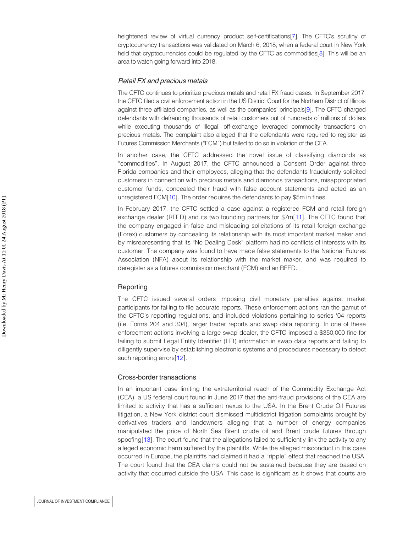heightened review of virtual currency product self-certifications[\[7\]](#page-5-6). The CFTC's scrutiny of cryptocurrency transactions was validated on March 6, 2018, when a federal court in New York held that cryptocurrencies could be regulated by the CFTC as commodities[\[8\]](#page-5-7). This will be an area to watch going forward into 2018.

#### Retail FX and precious metals

The CFTC continues to prioritize precious metals and retail FX fraud cases. In September 2017, the CFTC filed a civil enforcement action in the US District Court for the Northern District of Illinois against three affiliated companies, as well as the companies' principals[\[9\]](#page-5-8). The CFTC charged defendants with defrauding thousands of retail customers out of hundreds of millions of dollars while executing thousands of illegal, off-exchange leveraged commodity transactions on precious metals. The complaint also alleged that the defendants were required to register as Futures Commission Merchants ("FCM") but failed to do so in violation of the CEA.

In another case, the CFTC addressed the novel issue of classifying diamonds as "commodities". In August 2017, the CFTC announced a Consent Order against three Florida companies and their employees, alleging that the defendants fraudulently solicited customers in connection with precious metals and diamonds transactions, misappropriated customer funds, concealed their fraud with false account statements and acted as an unregistered FCM[\[10](#page-5-9)]. The order requires the defendants to pay \$5m in fines.

In February 2017, the CFTC settled a case against a registered FCM and retail foreign exchange dealer (RFED) and its two founding partners for \$7m[[11\]](#page-5-10). The CFTC found that the company engaged in false and misleading solicitations of its retail foreign exchange (Forex) customers by concealing its relationship with its most important market maker and by misrepresenting that its "No Dealing Desk" platform had no conflicts of interests with its customer. The company was found to have made false statements to the National Futures Association (NFA) about its relationship with the market maker, and was required to deregister as a futures commission merchant (FCM) and an RFED.

#### Reporting

The CFTC issued several orders imposing civil monetary penalties against market participants for failing to file accurate reports. These enforcement actions ran the gamut of the CFTC's reporting regulations, and included violations pertaining to series '04 reports (i.e. Forms 204 and 304), larger trader reports and swap data reporting. In one of these enforcement actions involving a large swap dealer, the CFTC imposed a \$350,000 fine for failing to submit Legal Entity Identifier (LEI) information in swap data reports and failing to diligently supervise by establishing electronic systems and procedures necessary to detect such reporting errors[[12\]](#page-5-11).

#### Cross-border transactions

In an important case limiting the extraterritorial reach of the Commodity Exchange Act (CEA), a US federal court found in June 2017 that the anti-fraud provisions of the CEA are limited to activity that has a sufficient nexus to the USA. In the Brent Crude Oil Futures litigation, a New York district court dismissed multidistrict litigation complaints brought by derivatives traders and landowners alleging that a number of energy companies manipulated the price of North Sea Brent crude oil and Brent crude futures through spoofing[\[13](#page-5-12)]. The court found that the allegations failed to sufficiently link the activity to any alleged economic harm suffered by the plaintiffs. While the alleged misconduct in this case occurred in Europe, the plaintiffs had claimed it had a "ripple" effect that reached the USA. The court found that the CEA claims could not be sustained because they are based on activity that occurred outside the USA. This case is significant as it shows that courts are